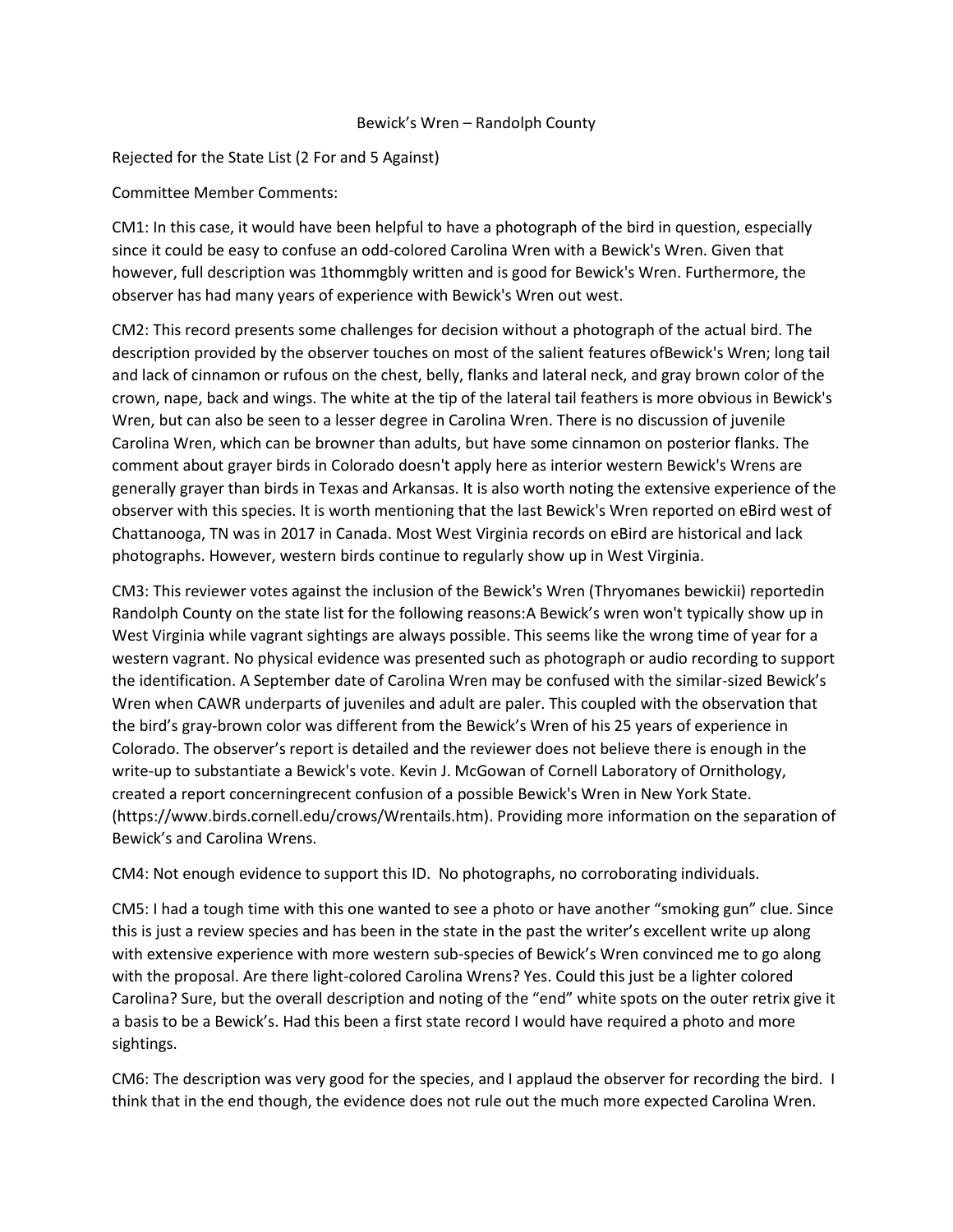## Bewick's Wren – Randolph County

## Rejected for the State List (2 For and 5 Against)

## Committee Member Comments:

CM1: In this case, it would have been helpful to have a photograph of the bird in question, especially since it could be easy to confuse an odd-colored Carolina Wren with a Bewick's Wren. Given that however, full description was 1thommgbly written and is good for Bewick's Wren. Furthermore, the observer has had many years of experience with Bewick's Wren out west.

CM2: This record presents some challenges for decision without a photograph of the actual bird. The description provided by the observer touches on most of the salient features ofBewick's Wren; long tail and lack of cinnamon or rufous on the chest, belly, flanks and lateral neck, and gray brown color of the crown, nape, back and wings. The white at the tip of the lateral tail feathers is more obvious in Bewick's Wren, but can also be seen to a lesser degree in Carolina Wren. There is no discussion of juvenile Carolina Wren, which can be browner than adults, but have some cinnamon on posterior flanks. The comment about grayer birds in Colorado doesn't apply here as interior western Bewick's Wrens are generally grayer than birds in Texas and Arkansas. It is also worth noting the extensive experience of the observer with this species. It is worth mentioning that the last Bewick's Wren reported on eBird west of Chattanooga, TN was in 2017 in Canada. Most West Virginia records on eBird are historical and lack photographs. However, western birds continue to regularly show up in West Virginia.

CM3: This reviewer votes against the inclusion of the Bewick's Wren (Thryomanes bewickii) reportedin Randolph County on the state list for the following reasons:A Bewick's wren won't typically show up in West Virginia while vagrant sightings are always possible. This seems like the wrong time of year for a western vagrant. No physical evidence was presented such as photograph or audio recording to support the identification. A September date of Carolina Wren may be confused with the similar-sized Bewick's Wren when CAWR underparts of juveniles and adult are paler. This coupled with the observation that the bird's gray-brown color was different from the Bewick's Wren of his 25 years of experience in Colorado. The observer's report is detailed and the reviewer does not believe there is enough in the write-up to substantiate a Bewick's vote. Kevin J. McGowan of Cornell Laboratory of Ornithology, created a report concerningrecent confusion of a possible Bewick's Wren in New York State. (https://www.birds.cornell.edu/crows/Wrentails.htm). Providing more information on the separation of Bewick's and Carolina Wrens.

CM4: Not enough evidence to support this ID. No photographs, no corroborating individuals.

CM5: I had a tough time with this one wanted to see a photo or have another "smoking gun" clue. Since this is just a review species and has been in the state in the past the writer's excellent write up along with extensive experience with more western sub-species of Bewick's Wren convinced me to go along with the proposal. Are there light-colored Carolina Wrens? Yes. Could this just be a lighter colored Carolina? Sure, but the overall description and noting of the "end" white spots on the outer retrix give it a basis to be a Bewick's. Had this been a first state record I would have required a photo and more sightings.

CM6: The description was very good for the species, and I applaud the observer for recording the bird. I think that in the end though, the evidence does not rule out the much more expected Carolina Wren.